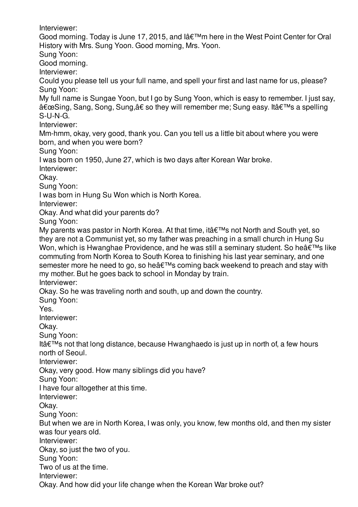Interviewer: Good morning. Today is June 17, 2015, and l'm here in the West Point Center for Oral History with Mrs. Sung Yoon. Good morning, Mrs. Yoon. Sung Yoon: Good morning. Interviewer: Could you please tell us your full name, and spell your first and last name for us, please? Sung Yoon: My full name is Sungae Yoon, but I go by Sung Yoon, which is easy to remember. I just say, "Sing, Sang, Song, Sung,†so they will remember me; Sung easy. It's a spelling S-U-N-G. Interviewer: Mm-hmm, okay, very good, thank you. Can you tell us a little bit about where you were born, and when you were born? Sung Yoon: I was born on 1950, June 27, which is two days after Korean War broke. Interviewer: Okay. Sung Yoon: I was born in Hung Su Won which is North Korea. Interviewer: Okay. And what did your parents do? Sung Yoon: My parents was pastor in North Korea. At that time, it  $\hat{\mathbf{a}} \in \mathbb{M}$ s not North and South yet, so they are not a Communist yet, so my father was preaching in a small church in Hung Su Won, which is Hwanghae Providence, and he was still a seminary student. So he $\hat{a} \in \mathbb{N}$ s like commuting from North Korea to South Korea to finishing his last year seminary, and one semester more he need to go, so he $\hat{\mathbf{a}} \in \mathbb{R}^{T_M}$ s coming back weekend to preach and stay with my mother. But he goes back to school in Monday by train. Interviewer: Okay. So he was traveling north and south, up and down the country. Sung Yoon: Yes. Interviewer: Okay. Sung Yoon: Itâ $\epsilon$ <sup>TM</sup>s not that long distance, because Hwanghaedo is just up in north of, a few hours north of Seoul. Interviewer: Okay, very good. How many siblings did you have? Sung Yoon: I have four altogether at this time. Interviewer: Okay. Sung Yoon: But when we are in North Korea, I was only, you know, few months old, and then my sister was four years old. Interviewer:

Okay, so just the two of you.

Sung Yoon:

Two of us at the time.

Interviewer:

Okay. And how did your life change when the Korean War broke out?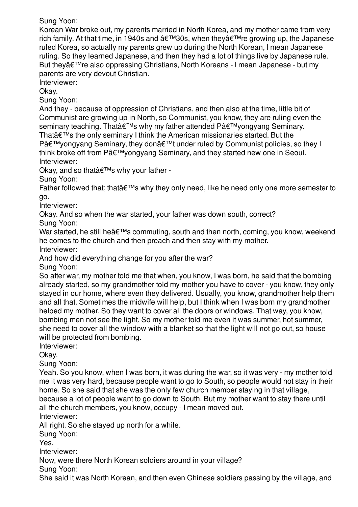Sung Yoon:

Korean War broke out, my parents married in North Korea, and my mother came from very rich family. At that time, in 1940s and '30s, when they're growing up, the Japanese ruled Korea, so actually my parents grew up during the North Korean, I mean Japanese ruling. So they learned Japanese, and then they had a lot of things live by Japanese rule. But they're also oppressing Christians, North Koreans - I mean Japanese - but my parents are very devout Christian.

Interviewer:

Okay.

Sung Yoon:

And they - because of oppression of Christians, and then also at the time, little bit of Communist are growing up in North, so Communist, you know, they are ruling even the seminary teaching. That's why my father attended P'yongyang Seminary. That $\hat{a} \in \mathbb{M}$ s the only seminary I think the American missionaries started. But the  $P\hat{a}\in\mathbb{M}$ yongyang Seminary, they don $\hat{a}\in\mathbb{M}$ t under ruled by Communist policies, so they I think broke off from P'yongyang Seminary, and they started new one in Seoul. Interviewer:

Okay, and so that's why your father -

Sung Yoon:

Father followed that; that  $\hat{\epsilon}$ <sup>TM</sup>s why they only need, like he need only one more semester to go.

Interviewer:

Okay. And so when the war started, your father was down south, correct?

Sung Yoon:

War started, he still he $\hat{\mathbf{a}} \in \mathbb{M}$ s commuting, south and then north, coming, you know, weekend he comes to the church and then preach and then stay with my mother.

Interviewer:

And how did everything change for you after the war?

Sung Yoon:

So after war, my mother told me that when, you know, I was born, he said that the bombing already started, so my grandmother told my mother you have to cover - you know, they only stayed in our home, where even they delivered. Usually, you know, grandmother help them and all that. Sometimes the midwife will help, but I think when I was born my grandmother helped my mother. So they want to cover all the doors or windows. That way, you know, bombing men not see the light. So my mother told me even it was summer, hot summer, she need to cover all the window with a blanket so that the light will not go out, so house will be protected from bombing.

Interviewer:

Okay.

Sung Yoon:

Yeah. So you know, when I was born, it was during the war, so it was very - my mother told me it was very hard, because people want to go to South, so people would not stay in their home. So she said that she was the only few church member staying in that village, because a lot of people want to go down to South. But my mother want to stay there until all the church members, you know, occupy - I mean moved out.

Interviewer:

All right. So she stayed up north for a while.

Sung Yoon:

Yes.

Interviewer:

Now, were there North Korean soldiers around in your village?

Sung Yoon:

She said it was North Korean, and then even Chinese soldiers passing by the village, and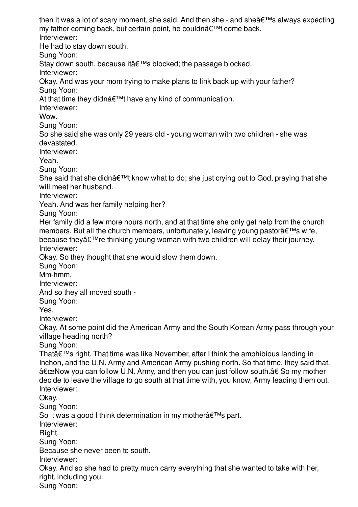then it was a lot of scary moment, she said. And then she - and she $\hat{\mathbf{a}} \in \mathbb{M}$ s always expecting my father coming back, but certain point, he couldn't come back. Interviewer: He had to stay down south. Sung Yoon: Stay down south, because it's blocked; the passage blocked. Interviewer: Okay. And was your mom trying to make plans to link back up with your father? Sung Yoon: At that time they didnâ $\epsilon^{\text{TM}}$ t have any kind of communication. Interviewer: Wow. Sung Yoon: So she said she was only 29 years old - young woman with two children - she was devastated. Interviewer: Yeah. Sung Yoon: She said that she didn $\hat{\mathbf{a}} \in \mathbb{M}$  know what to do; she just crying out to God, praying that she will meet her husband. Interviewer: Yeah. And was her family helping her? Sung Yoon: Her family did a few more hours north, and at that time she only get help from the church members. But all the church members, unfortunately, leaving young pastorâ€<sup>™</sup>s wife, because they $a \in \mathbb{M}$  re thinking young woman with two children will delay their journey. Interviewer: Okay. So they thought that she would slow them down. Sung Yoon: Mm-hmm. Interviewer: And so they all moved south - Sung Yoon: Yes. Interviewer: Okay. At some point did the American Army and the South Korean Army pass through your village heading north? Sung Yoon: That $\hat{\mathbf{a}} \in \mathbb{M}$  right. That time was like November, after I think the amphibious landing in Inchon, and the U.N. Army and American Army pushing north. So that time, they said that, "Now you can follow U.N. Army, and then you can just follow south.†So my mother decide to leave the village to go south at that time with, you know, Army leading them out. Interviewer: Okay. Sung Yoon: So it was a good I think determination in my mother $\hat{\mathbf{a}} \in \mathbb{M}$ s part. Interviewer: Right. Sung Yoon: Because she never been to south. Interviewer: Okay. And so she had to pretty much carry everything that she wanted to take with her, right, including you. Sung Yoon: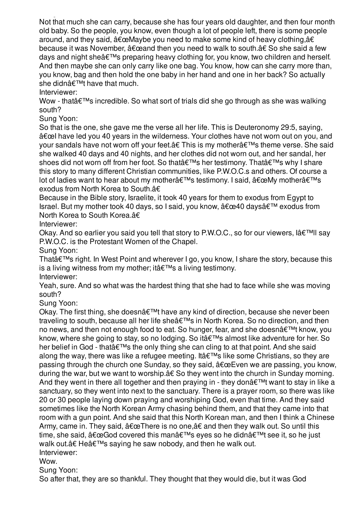Sung Yoon: Not that much she can carry, because she has four years old daughter, and then four month old baby. So the people, you know, even though a lot of people left, there is some people around, and they said,  $\hat{a} \in \mathbb{C}$ Maybe you need to make some kind of heavy clothing, $\hat{a} \in$ because it was November,  $â€\text{ceand}$  then you need to walk to south.†So she said a few days and night she $\hat{\mathbf{a}} \in \mathbb{M}$ s preparing heavy clothing for, you know, two children and herself. And then maybe she can only carry like one bag. You know, how can she carry more than, you know, bag and then hold the one baby in her hand and one in her back? So actually she didn $\hat{\mathbf{a}} \in \mathbb{M}$ t have that much.

Interviewer:

Wow - that  $\hat{\theta} \in \mathbb{R}^n$  incredible. So what sort of trials did she go through as she was walking south?

Sung Yoon:

So that is the one, she gave me the verse all her life. This is Deuteronomy 29:5, saying,  $\hat{a}$  and have led you 40 years in the wilderness. Your clothes have not worn out on you, and your sandals have not worn off your feet. $â€$  This is my mother $â€$ <sup>™</sup>s theme verse. She said she walked 40 days and 40 nights, and her clothes did not worn out, and her sandal, her shoes did not worn off from her foot. So that's her testimony. That's why I share this story to many different Christian communities, like P.W.O.C.s and others. Of course a lot of ladies want to hear about my mother $\hat{\mathbf{a}} \in \mathbb{N}$ s testimony. I said,  $\hat{\mathbf{a}} \in \mathbb{C}$ My mother $\hat{\mathbf{a}} \in \mathbb{N}$ s exodus from North Korea to South.â€

Because in the Bible story, Israelite, it took 40 years for them to exodus from Egypt to Israel. But my mother took 40 days, so I said, you know,  $\hat{a} \in \mathbb{C}$ ea40 days $\hat{a} \in \mathbb{C}^M$  exodus from North Korea to South Korea.â€

Interviewer:

Okay. And so earlier you said you tell that story to P.W.O.C., so for our viewers,  $\hat{a} \in \mathbb{T}^{M}$ ll say P.W.O.C. is the Protestant Women of the Chapel.

Sung Yoon:

That $\hat{a} \in \mathbb{M}$ s right. In West Point and wherever I go, you know, I share the story, because this is a living witness from my mother; it  $\hat{\mathbf{a}} \in \mathbb{M}$ s a living testimony.

Interviewer:

Yeah, sure. And so what was the hardest thing that she had to face while she was moving south?

Sung Yoon:

Okay. The first thing, she doesn $\hat{\mathbf{a}} \in \mathbb{M}$  have any kind of direction, because she never been traveling to south, because all her life she's in North Korea. So no direction, and then no news, and then not enough food to eat. So hunger, fear, and she doesn't know, you know, where she going to stay, so no lodging. So it's almost like adventure for her. So her belief in God - that's the only thing she can cling to at that point. And she said along the way, there was like a refugee meeting. It  $\hat{\mathbf{a}} \in \mathbb{M}$ s like some Christians, so they are passing through the church one Sunday, so they said,  $â€\text{ceEven we}$  are passing, you know, during the war, but we want to worship.â€ So they went into the church in Sunday morning. And they went in there all together and then praying in - they don $\hat{a} \in \mathbb{M}$  want to stay in like a sanctuary, so they went into next to the sanctuary. There is a prayer room, so there was like 20 or 30 people laying down praying and worshiping God, even that time. And they said sometimes like the North Korean Army chasing behind them, and that they came into that room with a gun point. And she said that this North Korean man, and then I think a Chinese Army, came in. They said,  $"There$  is no one, $â€$  and then they walk out. So until this time, she said,  $\hat{a} \in \mathbb{G}$  covered this man $\hat{a} \in \mathbb{T}^M$ s eyes so he didn $\hat{a} \in \mathbb{T}^M$ t see it, so he just walk out.†He's saying he saw nobody, and then he walk out. Interviewer:

Wow.

Sung Yoon:

So after that, they are so thankful. They thought that they would die, but it was God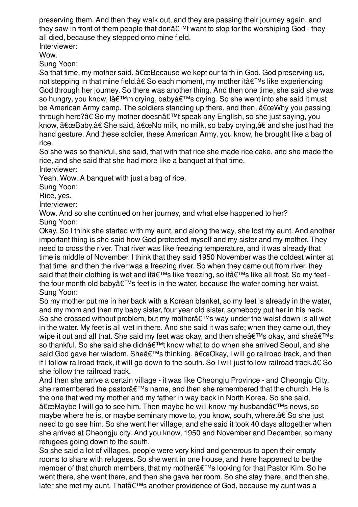preserving them. And then they walk out, and they are passing their journey again, and they saw in front of them people that don $\hat{\mathbf{a}} \in \mathbb{M}$  want to stop for the worshiping God - they all died, because they stepped onto mine field.

Interviewer:

Wow.

Sung Yoon:

So that time, my mother said,  $\hat{a} \in \mathbb{C}$  because we kept our faith in God, God preserving us, not stepping in that mine field.†So each moment, my mother it's like experiencing God through her journey. So there was another thing. And then one time, she said she was so hungry, you know, l'm crying, baby's crying. So she went into she said it must be American Army camp. The soldiers standing up there, and then,  $\hat{\alpha} \in \text{ceWhy}$  you passing through here?†So my mother doesn't speak any English, so she just saying, you know,  $\hat{a} \in \mathbb{B}$ aby.†She said,  $\hat{a} \in \mathbb{C}$ No milk, no milk, so baby crying, $\hat{a} \in \mathbb{C}$  and she just had the hand gesture. And these soldier, these American Army, you know, he brought like a bag of rice.

So she was so thankful, she said, that with that rice she made rice cake, and she made the rice, and she said that she had more like a banquet at that time.

Interviewer:

Yeah. Wow. A banquet with just a bag of rice.

Sung Yoon:

Rice, yes.

Interviewer:

Wow. And so she continued on her journey, and what else happened to her? Sung Yoon:

Okay. So I think she started with my aunt, and along the way, she lost my aunt. And another important thing is she said how God protected myself and my sister and my mother. They need to cross the river. That river was like freezing temperature, and it was already that time is middle of November. I think that they said 1950 November was the coldest winter at that time, and then the river was a freezing river. So when they came out from river, they said that their clothing is wet and itâ $\epsilon^{TM}$ s like freezing, so itâ $\epsilon^{TM}$ s like all frost. So my feet the four month old baby  $\hat{a} \in \mathbb{M}$  feet is in the water, because the water coming her waist. Sung Yoon:

So my mother put me in her back with a Korean blanket, so my feet is already in the water, and my mom and then my baby sister, four year old sister, somebody put her in his neck. So she crossed without problem, but my mother $\hat{a} \in \mathbb{M}$ s way under the waist down is all wet in the water. My feet is all wet in there. And she said it was safe; when they came out, they wipe it out and all that. She said my feet was okay, and then she $\hat{\mathbf{a}} \in \mathbb{M}$ s okay, and she $\hat{\mathbf{a}} \in \mathbb{M}$ s so thankful. So she said she didn't know what to do when she arrived Seoul, and she said God gave her wisdom. She's thinking,  $\hat{a} \in \text{ceO}$ kay, I will go railroad track, and then if I follow railroad track, it will go down to the south. So I will just follow railroad track.â€ So she follow the railroad track.

And then she arrive a certain village - it was like Cheongju Province - and Cheongju City, she remembered the pastor $\hat{\mathbf{a}} \in \mathbb{R}^n$ s name, and then she remembered that the church. He is the one that wed my mother and my father in way back in North Korea. So she said, "Maybe I will go to see him. Then maybe he will know my husband's news, so maybe where he is, or maybe seminary move to, you know, south, where.â€ So she just need to go see him. So she went her village, and she said it took 40 days altogether when she arrived at Cheongju city. And you know, 1950 and November and December, so many refugees going down to the south.

So she said a lot of villages, people were very kind and generous to open their empty rooms to share with refugees. So she went in one house, and there happened to be the member of that church members, that my mother's looking for that Pastor Kim. So he went there, she went there, and then she gave her room. So she stay there, and then she, later she met my aunt. That's another providence of God, because my aunt was a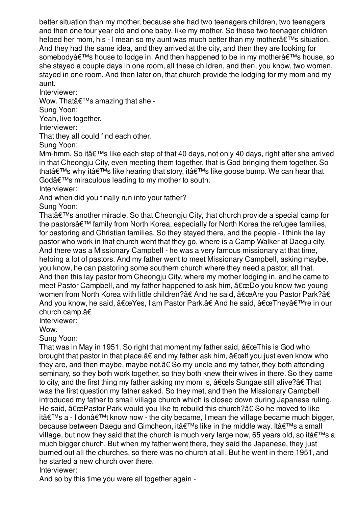later she met my aunt. That's another providence of God, because my aunt was a better situation than my mother, because she had two teenagers children, two teenagers and then one four year old and one baby, like my mother. So these two teenager children helped her mom, his - I mean so my aunt was much better than my mother $\hat{\alpha} \in \mathbb{M}$ s situation. And they had the same idea, and they arrived at the city, and then they are looking for somebody's house to lodge in. And then happened to be in my mother's house, so she stayed a couple days in one room, all these children, and then, you know, two women, stayed in one room. And then later on, that church provide the lodging for my mom and my aunt.

Interviewer:

Wow. That  $\hat{\theta} \in \mathbb{M}$ s amazing that she -

Sung Yoon:

Yeah, live together.

Interviewer:

That they all could find each other.

Sung Yoon:

Mm-hmm. So it $a \in \mathbb{M}$ s like each step of that 40 days, not only 40 days, right after she arrived in that Cheongju City, even meeting them together, that is God bringing them together. So that  $\hat{\mathbf{a}} \in \mathbb{M}$  why it  $\hat{\mathbf{a}} \in \mathbb{M}$  like hearing that story, it  $\hat{\mathbf{a}} \in \mathbb{M}$  like goose bump. We can hear that God $\hat{\mathbf{\alpha}} \in \mathbb{M}$ s miraculous leading to my mother to south.

Interviewer:

And when did you finally run into your father?

Sung Yoon:

That $\hat{a} \in \mathbb{M}$ s another miracle. So that Cheongju City, that church provide a special camp for the pastors $\hat{\mathbf{a}} \in \mathbb{M}$  family from North Korea, especially for North Korea the refugee families, for pastoring and Christian families. So they stayed there, and the people - I think the lay pastor who work in that church went that they go, where is a Camp Walker at Daegu city. And there was a Missionary Campbell - he was a very famous missionary at that time, helping a lot of pastors. And my father went to meet Missionary Campbell, asking maybe, you know, he can pastoring some southern church where they need a pastor, all that. And then this lay pastor from Cheongju City, where my mother lodging in, and he came to meet Pastor Campbell, and my father happened to ask him,  $\hat{a} \in \Omega$  you know two young women from North Korea with little children?†And he said, "Are you Pastor Park?â€ And you know, he said, "Yes, I am Pastor Park.†And he said, "They're in our church camp.â€

Interviewer:

Wow.

Sung Yoon:

That was in May in 1951. So right that moment my father said,  $\hat{a} \in \mathbb{C}$ This is God who brought that pastor in that place,  $\hat{a}\epsilon$  and my father ask him,  $\hat{a}\epsilon$  celf you just even know who they are, and then maybe, maybe not.â€ So my uncle and my father, they both attending seminary, so they both work together, so they both knew their wives in there. So they came to city, and the first thing my father asking my mom is,  $\hat{a} \in \hat{b}$  Sungae still alive? $\hat{a} \in \text{That}$ was the first question my father asked. So they met, and then the Missionary Campbell introduced my father to small village church which is closed down during Japanese ruling. He said,  $â€ce$ Pastor Park would you like to rebuild this church?†So he moved to like it's a - I don't know now - the city became, I mean the village became much bigger, because between Daegu and Gimcheon, it's like in the middle way. It's a small village, but now they said that the church is much very large now, 65 years old, so it  $\hat{\mathbf{a}} \in \mathbb{N}$ s a much bigger church. But when my father went there, they said the Japanese, they just burned out all the churches, so there was no church at all. But he went in there 1951, and he started a new church over there.

Interviewer:

And so by this time you were all together again -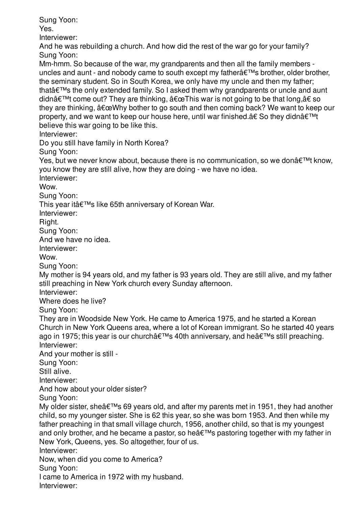Sung Yoon:

Yes.

Interviewer:

And he was rebuilding a church. And how did the rest of the war go for your family? Sung Yoon:

Mm-hmm. So because of the war, my grandparents and then all the family members uncles and aunt - and nobody came to south except my father $\hat{a} \in \mathbb{M}$ s brother, older brother, the seminary student. So in South Korea, we only have my uncle and then my father; that $\hat{\mathbf{a}} \in \mathbb{R}^n$  the only extended family. So I asked them why grandparents or uncle and aunt didn't come out? They are thinking,  $\hat{a} \in \mathbb{C}$ This war is not going to be that long, $\hat{a} \in \mathbb{S}$  so they are thinking,  $\hat{a} \in \mathbb{Q}$ Why bother to go south and then coming back? We want to keep our property, and we want to keep our house here, until war finished.†So they didnâ€<sup>™t</sup> believe this war going to be like this.

Interviewer:

Do you still have family in North Korea?

Sung Yoon:

Yes, but we never know about, because there is no communication, so we don $\hat{\mathbf{a}} \in \mathbb{M}^*$  know, you know they are still alive, how they are doing - we have no idea.

Interviewer:

Wow.

Sung Yoon:

This year it's like 65th anniversary of Korean War.

Interviewer:

Right.

Sung Yoon:

And we have no idea.

Interviewer:

Wow.

Sung Yoon:

My mother is 94 years old, and my father is 93 years old. They are still alive, and my father still preaching in New York church every Sunday afternoon.

Interviewer:

Where does he live?

Sung Yoon:

They are in Woodside New York. He came to America 1975, and he started a Korean Church in New York Queens area, where a lot of Korean immigrant. So he started 40 years ago in 1975; this year is our church's 40th anniversary, and he's still preaching. Interviewer:

And your mother is still -

Sung Yoon:

Still alive.

Interviewer:

And how about your older sister?

Sung Yoon:

My older sister, she $\hat{\mathfrak{a}} \in \mathbb{R}^N$ s 69 years old, and after my parents met in 1951, they had another child, so my younger sister. She is 62 this year, so she was born 1953. And then while my father preaching in that small village church, 1956, another child, so that is my youngest and only brother, and he became a pastor, so he  $\hat{\mathbf{a}} \in \mathbb{R}^{T M}$ s pastoring together with my father in New York, Queens, yes. So altogether, four of us.

Interviewer:

Now, when did you come to America?

Sung Yoon:

I came to America in 1972 with my husband.

Interviewer: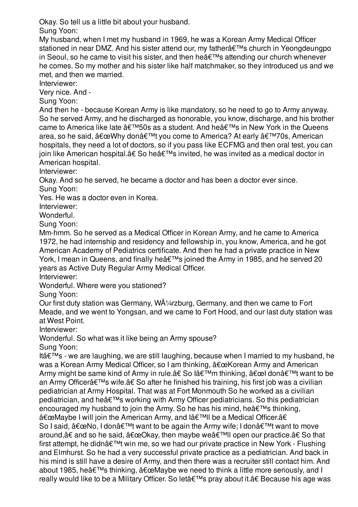Okay. So tell us a little bit about your husband.

Sung Yoon:

My husband, when I met my husband in 1969, he was a Korean Army Medical Officer stationed in near DMZ. And his sister attend our, my father a €<sup>™</sup>s church in Yeongdeungpo in Seoul, so he came to visit his sister, and then he $\hat{a} \in \mathbb{M}$ s attending our church whenever he comes. So my mother and his sister like half matchmaker, so they introduced us and we met, and then we married.

Interviewer:

Very nice. And -

Sung Yoon:

And then he - because Korean Army is like mandatory, so he need to go to Army anyway. So he served Army, and he discharged as honorable, you know, discharge, and his brother came to America like late  $\hat{a} \in \mathbb{M}$ 50s as a student. And he $\hat{a} \in \mathbb{M}$ s in New York in the Queens area, so he said,  $â€ceWhy$  don't you come to America? At early  $â€<sup>TM</sup>70s$ , American hospitals, they need a lot of doctors, so if you pass like ECFMG and then oral test, you can join like American hospital.†So he's invited, he was invited as a medical doctor in American hospital.

Interviewer:

Okay. And so he served, he became a doctor and has been a doctor ever since.

Sung Yoon:

Yes. He was a doctor even in Korea.

Interviewer:

Wonderful.

Sung Yoon:

Mm-hmm. So he served as a Medical Officer in Korean Army, and he came to America 1972, he had internship and residency and fellowship in, you know, America, and he got American Academy of Pediatrics certificate. And then he had a private practice in New York, I mean in Queens, and finally he $\hat{\mathbf{a}} \in \mathbb{M}$ s joined the Army in 1985, and he served 20 years as Active Duty Regular Army Medical Officer.

Interviewer:

Wonderful. Where were you stationed?

Sung Yoon:

Our first duty station was Germany,  $W\tilde{A}/4$ rzburg, Germany, and then we came to Fort Meade, and we went to Yongsan, and we came to Fort Hood, and our last duty station was at West Point.

Interviewer:

Wonderful. So what was it like being an Army spouse?

Sung Yoon:

Itâ $\epsilon$ <sup>TM</sup>s - we are laughing, we are still laughing, because when I married to my husband, he was a Korean Army Medical Officer, so I am thinking,  $â€ceKorean$  Army and American Army might be same kind of Army in rule. $\hat{a} \in S$ o lâ $\epsilon^{TM}$ m thinking,  $\hat{a} \in \text{cell}$  don $\hat{a} \epsilon^{TM}$ t want to be an Army Officer's wife.†So after he finished his training, his first job was a civilian pediatrician at Army Hospital. That was at Fort Monmouth So he worked as a civilian pediatrician, and he's working with Army Officer pediatricians. So this pediatrician encouraged my husband to join the Army. So he has his mind, he  $\hat{\theta} \in \mathbb{R}^N$ s thinking, "Maybe I will join the American Army, and l'll be a Medical Officer.â€ So I said,  $â€ceNo$ , I don $'t$  want to be again the Army wife; I don $'t$  want to move around,†and so he said, "Okay, then maybe we'II open our practice.†So that first attempt, he didn $\hat{\mathbf{a}} \in \mathbb{M}$ t win me, so we had our private practice in New York - Flushing and Elmhurst. So he had a very successful private practice as a pediatrician. And back in his mind is still have a desire of Army, and then there was a recruiter still contact him. And about 1985, he's thinking,  $â€ce$ Maybe we need to think a little more seriously, and I really would like to be a Military Officer. So let's pray about it.†Because his age was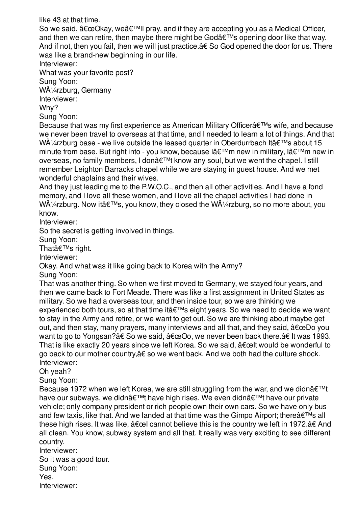like 43 at that time.

So we said,  $â€ceO$ kay, we'II pray, and if they are accepting you as a Medical Officer, and then we can retire, then maybe there might be Godâ $\epsilon^{TM}$ s opening door like that way. And if not, then you fail, then we will just practice.â€ So God opened the door for us. There was like a brand-new beginning in our life.

Interviewer:

What was your favorite post?

Sung Yoon:

WÃ1/4rzburg, Germany

Interviewer:

Why?

Sung Yoon:

Because that was my first experience as American Military Officer's wife, and because we never been travel to overseas at that time, and I needed to learn a lot of things. And that WA $\frac{1}{4}$ rzburg base - we live outside the leased quarter in Oberdurrbach Itâ $\epsilon$ <sup>TM</sup>s about 15 minute from base. But right into - you know, because  $I \triangleleft \in \mathbb{N}$ m new in military,  $I \triangleleft \in \mathbb{N}$ m new in overseas, no family members, I don $\hat{\mathcal{A}} \in \mathbb{M}$  know any soul, but we went the chapel. I still remember Leighton Barracks chapel while we are staying in guest house. And we met wonderful chaplains and their wives.

And they just leading me to the P.W.O.C., and then all other activities. And I have a fond memory, and I love all these women, and I love all the chapel activities I had done in W $\tilde{A}/4$ rzburg. Now itâ $\epsilon^{TM}$ s, you know, they closed the W $\tilde{A}/4$ rzburg, so no more about, you know.

Interviewer:

So the secret is getting involved in things.

Sung Yoon:

That's right.

Interviewer:

Okay. And what was it like going back to Korea with the Army?

Sung Yoon:

That was another thing. So when we first moved to Germany, we stayed four years, and then we came back to Fort Meade. There was like a first assignment in United States as military. So we had a overseas tour, and then inside tour, so we are thinking we experienced both tours, so at that time it  $\hat{\theta} \in \mathbb{M}$ s eight years. So we need to decide we want to stay in the Army and retire, or we want to get out. So we are thinking about maybe get out, and then stay, many prayers, many interviews and all that, and they said,  $\hat{a} \in \mathbb{C}$ Do you want to go to Yongsan?†So we said,  $"Oo$ , we never been back there.†It was 1993. That is like exactly 20 years since we left Korea. So we said,  $\hat{a} \in \text{cell}$  would be wonderful to go back to our mother country,â€ so we went back. And we both had the culture shock. Interviewer:

Oh yeah?

Sung Yoon:

Because 1972 when we left Korea, we are still struggling from the war, and we didn $\hat{\mathbf{a}} \in \mathbb{M}$ t have our subways, we didn't have high rises. We even didn't have our private vehicle; only company president or rich people own their own cars. So we have only bus and few taxis, like that. And we landed at that time was the Gimpo Airport; there  $\hat{\mathbf{a}} \in \mathbb{R}^{T}$ s all these high rises. It was like,  $\hat{a} \in \mathbb{C}$  cannot believe this is the country we left in 1972. $\hat{a} \in A$ nd all clean. You know, subway system and all that. It really was very exciting to see different country.

Interviewer: So it was a good tour. Sung Yoon: Yes. Interviewer: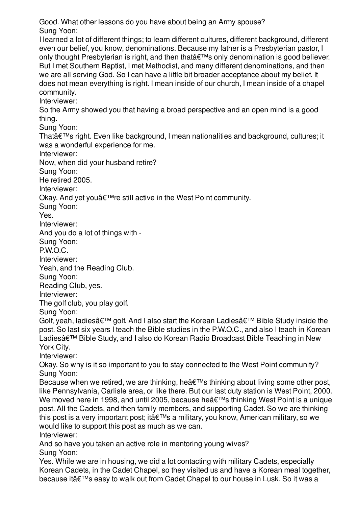Good. What other lessons do you have about being an Army spouse? Sung Yoon:

I learned a lot of different things; to learn different cultures, different background, different even our belief, you know, denominations. Because my father is a Presbyterian pastor, I only thought Presbyterian is right, and then that  $\hat{\epsilon}^{\text{TM}}$ s only denomination is good believer. But I met Southern Baptist, I met Methodist, and many different denominations, and then we are all serving God. So I can have a little bit broader acceptance about my belief. It does not mean everything is right. I mean inside of our church, I mean inside of a chapel community.

Interviewer:

So the Army showed you that having a broad perspective and an open mind is a good thing.

Sung Yoon:

That's right. Even like background, I mean nationalities and background, cultures; it was a wonderful experience for me.

Interviewer:

Now, when did your husband retire?

Sung Yoon:

He retired 2005.

Interviewer:

Okay. And yet you $\hat{\mathbf{a}} \in \mathbb{R}^m$ re still active in the West Point community.

Sung Yoon:

Yes.

Interviewer:

And you do a lot of things with -

Sung Yoon:

P.W.O.C.

Interviewer:

Yeah, and the Reading Club.

Sung Yoon:

Reading Club, yes.

Interviewer:

The golf club, you play golf.

Sung Yoon:

Golf, yeah, ladies' golf. And I also start the Korean Ladies' Bible Study inside the post. So last six years I teach the Bible studies in the P.W.O.C., and also I teach in Korean Ladiesâ€<sup>™</sup> Bible Study, and I also do Korean Radio Broadcast Bible Teaching in New York City.

Interviewer:

Okay. So why is it so important to you to stay connected to the West Point community? Sung Yoon:

Because when we retired, we are thinking, he  $\hat{\mathbf{a}} \in \mathbb{M}$ s thinking about living some other post, like Pennsylvania, Carlisle area, or like there. But our last duty station is West Point, 2000. We moved here in 1998, and until 2005, because he $\hat{\mathbf{a}} \in \mathbb{M}$ s thinking West Point is a unique post. All the Cadets, and then family members, and supporting Cadet. So we are thinking this post is a very important post; it  $\hat{\mathbf{a}} \in \mathbb{M}$ s a military, you know, American military, so we would like to support this post as much as we can.

Interviewer:

And so have you taken an active role in mentoring young wives? Sung Yoon:

Yes. While we are in housing, we did a lot contacting with military Cadets, especially Korean Cadets, in the Cadet Chapel, so they visited us and have a Korean meal together, because it's easy to walk out from Cadet Chapel to our house in Lusk. So it was a